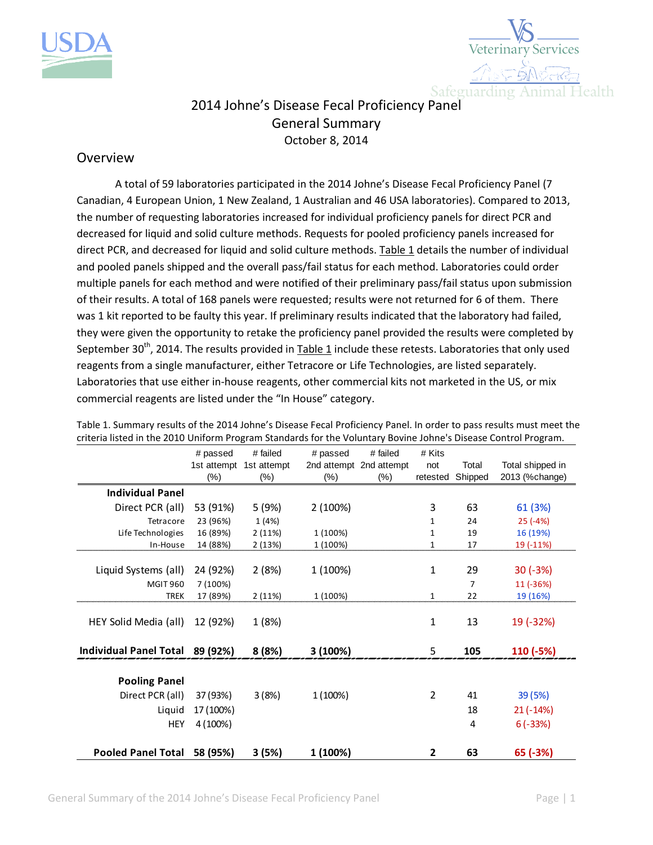



## 2014 Johne's Disease Fecal Proficiency Panel General Summary October 8, 2014

## Overview

A total of 59 laboratories participated in the 2014 Johne's Disease Fecal Proficiency Panel (7 Canadian, 4 European Union, 1 New Zealand, 1 Australian and 46 USA laboratories). Compared to 2013, the number of requesting laboratories increased for individual proficiency panels for direct PCR and decreased for liquid and solid culture methods. Requests for pooled proficiency panels increased for direct PCR, and decreased for liquid and solid culture methods. Table 1 details the number of individual and pooled panels shipped and the overall pass/fail status for each method. Laboratories could order multiple panels for each method and were notified of their preliminary pass/fail status upon submission of their results. A total of 168 panels were requested; results were not returned for 6 of them. There was 1 kit reported to be faulty this year. If preliminary results indicated that the laboratory had failed, they were given the opportunity to retake the proficiency panel provided the results were completed by September 30<sup>th</sup>, 2014. The results provided in Table 1 include these retests. Laboratories that only used reagents from a single manufacturer, either Tetracore or Life Technologies, are listed separately. Laboratories that use either in-house reagents, other commercial kits not marketed in the US, or mix commercial reagents are listed under the "In House" category.

|                                 | # passed  | # failed                | # passed | # failed                | # Kits         |         |                  |
|---------------------------------|-----------|-------------------------|----------|-------------------------|----------------|---------|------------------|
|                                 |           | 1st attempt 1st attempt |          | 2nd attempt 2nd attempt | not            | Total   | Total shipped in |
|                                 | $(\%)$    | $(\%)$                  | $(\%)$   | $(\%)$                  | retested       | Shipped | 2013 (%change)   |
| <b>Individual Panel</b>         |           |                         |          |                         |                |         |                  |
| Direct PCR (all)                | 53 (91%)  | 5 (9%)                  | 2 (100%) |                         | 3              | 63      | 61 (3%)          |
| Tetracore                       | 23 (96%)  | 1(4%)                   |          |                         | 1              | 24      | $25(-4%)$        |
| Life Technologies               | 16 (89%)  | 2(11%)                  | 1 (100%) |                         | 1              | 19      | 16 (19%)         |
| In-House                        | 14 (88%)  | 2(13%)                  | 1 (100%) |                         | 1              | 17      | 19 (-11%)        |
|                                 |           |                         |          |                         |                |         |                  |
| Liquid Systems (all)            | 24 (92%)  | 2(8%)                   | 1 (100%) |                         | 1              | 29      | $30(-3%)$        |
| <b>MGIT 960</b>                 | 7 (100%)  |                         |          |                         |                | 7       | 11 (-36%)        |
| <b>TREK</b>                     | 17 (89%)  | 2(11%)                  | 1 (100%) |                         | $\mathbf{1}$   | 22      | 19 (16%)         |
|                                 |           |                         |          |                         |                |         |                  |
| HEY Solid Media (all)           | 12 (92%)  | 1 (8%)                  |          |                         | $\mathbf{1}$   | 13      | 19 (-32%)        |
|                                 |           |                         |          |                         |                |         |                  |
| Individual Panel Total 89 (92%) |           | 8(8%)                   | 3(100%)  |                         | 5              | 105     | 110 (-5%)        |
|                                 |           |                         |          |                         |                |         |                  |
| <b>Pooling Panel</b>            |           |                         |          |                         |                |         |                  |
| Direct PCR (all)                | 37 (93%)  | 3(8%)                   | 1 (100%) |                         | $\overline{2}$ | 41      | 39 (5%)          |
| Liquid                          | 17 (100%) |                         |          |                         |                | 18      | $21(-14%)$       |
| <b>HEY</b>                      | 4 (100%)  |                         |          |                         |                | 4       | $6(-33%)$        |
|                                 |           |                         |          |                         |                |         |                  |
| <b>Pooled Panel Total</b>       | 58 (95%)  | 3(5%)                   | 1 (100%) |                         | 2              | 63      | 65 (-3%)         |

Table 1. Summary results of the 2014 Johne's Disease Fecal Proficiency Panel. In order to pass results must meet the criteria listed in the 2010 Uniform Program Standards for the Voluntary Bovine Johne's Disease Control Program.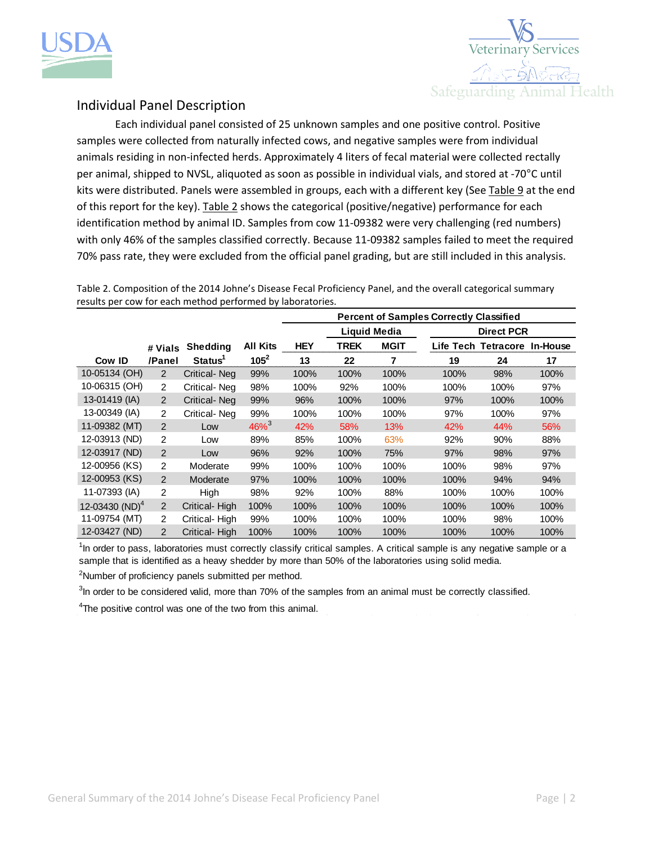



## Individual Panel Description

Each individual panel consisted of 25 unknown samples and one positive control. Positive samples were collected from naturally infected cows, and negative samples were from individual animals residing in non-infected herds. Approximately 4 liters of fecal material were collected rectally per animal, shipped to NVSL, aliquoted as soon as possible in individual vials, and stored at -70°C until kits were distributed. Panels were assembled in groups, each with a different key (See Table 9 at the end of this report for the key). Table 2 shows the categorical (positive/negative) performance for each identification method by animal ID. Samples from cow 11-09382 were very challenging (red numbers) with only 46% of the samples classified correctly. Because 11-09382 samples failed to meet the required 70% pass rate, they were excluded from the official panel grading, but are still included in this analysis.

Table 2. Composition of the 2014 Johne's Disease Fecal Proficiency Panel, and the overall categorical summary results per cow for each method performed by laboratories.

|                  |                |                     |                     | <b>Percent of Samples Correctly Classified</b> |                                          |             |           |                  |          |
|------------------|----------------|---------------------|---------------------|------------------------------------------------|------------------------------------------|-------------|-----------|------------------|----------|
|                  |                |                     |                     |                                                | <b>Liquid Media</b><br><b>Direct PCR</b> |             |           |                  |          |
|                  | # Vials        | Shedding            | All Kits            | <b>HEY</b>                                     | TREK                                     | <b>MGIT</b> | Life Tech | <b>Tetracore</b> | In-House |
| Cow ID           | /Panel         | Status <sup>1</sup> | $105^2$             | 13                                             | 22                                       |             | 19        | 24               | 17       |
| 10-05134 (OH)    | $\overline{2}$ | <b>Critical-Neg</b> | 99%                 | 100%                                           | 100%                                     | 100%        | 100%      | 98%              | 100%     |
| 10-06315 (OH)    | $\overline{2}$ | Critical-Neg        | 98%                 | 100%                                           | 92%                                      | 100%        | 100%      | 100%             | 97%      |
| 13-01419 (IA)    | 2              | <b>Critical-Neg</b> | 99%                 | 96%                                            | 100%                                     | 100%        | 97%       | 100%             | 100%     |
| 13-00349 (IA)    | $\overline{2}$ | Critical-Neg        | 99%                 | 100%                                           | 100%                                     | 100%        | 97%       | 100%             | 97%      |
| 11-09382 (MT)    | $\mathcal{P}$  | Low                 | $46\%$ <sup>3</sup> | 42%                                            | 58%                                      | 13%         | 42%       | 44%              | 56%      |
| 12-03913 (ND)    | 2              | Low                 | 89%                 | 85%                                            | 100%                                     | 63%         | 92%       | 90%              | 88%      |
| 12-03917 (ND)    | 2              | Low                 | 96%                 | 92%                                            | 100%                                     | 75%         | 97%       | 98%              | 97%      |
| 12-00956 (KS)    | $\overline{2}$ | Moderate            | 99%                 | 100%                                           | 100%                                     | 100%        | 100%      | 98%              | 97%      |
| 12-00953 (KS)    | 2              | Moderate            | 97%                 | 100%                                           | 100%                                     | 100%        | 100%      | 94%              | 94%      |
| 11-07393 (IA)    | 2              | High                | 98%                 | 92%                                            | 100%                                     | 88%         | 100%      | 100%             | 100%     |
| 12-03430 $(D)^4$ | $\overline{2}$ | Critical-High       | 100%                | 100%                                           | 100%                                     | 100%        | 100%      | 100%             | 100%     |
| 11-09754 (MT)    | $\overline{2}$ | Critical-High       | 99%                 | 100%                                           | 100%                                     | 100%        | 100%      | 98%              | 100%     |
| 12-03427 (ND)    | $\overline{2}$ | Critical-High       | 100%                | 100%                                           | 100%                                     | 100%        | 100%      | 100%             | 100%     |

 $1$ In order to pass, laboratories must correctly classify critical samples. A critical sample is any negative sample or a sample that is identified as a heavy shedder by more than 50% of the laboratories using solid media.

<sup>2</sup>Number of proficiency panels submitted per method.

 $3$ In order to be considered valid, more than 70% of the samples from an animal must be correctly classified.

<sup>4</sup>The positive control was one of the two from this animal.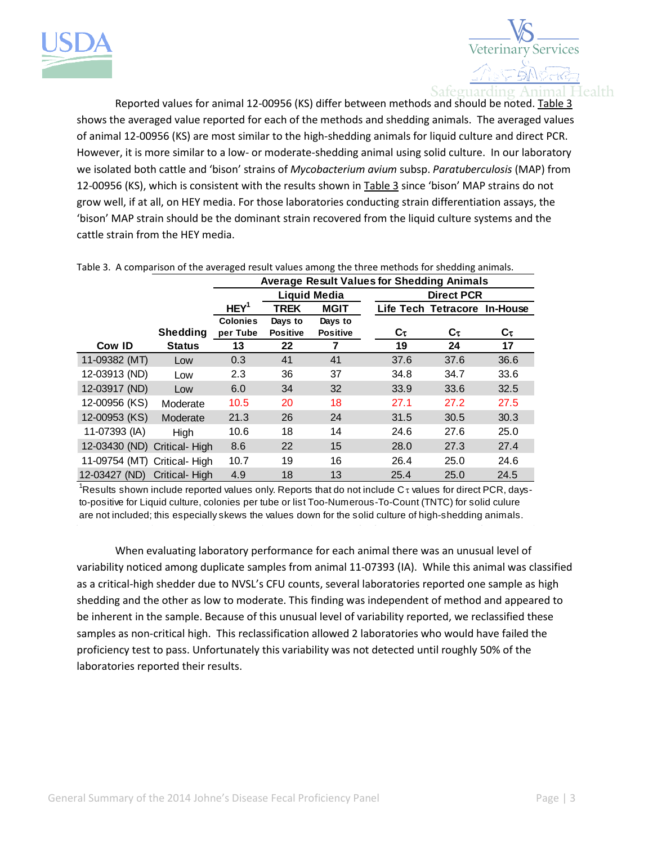



Reported values for animal 12-00956 (KS) differ between methods and should be noted. Table 3 shows the averaged value reported for each of the methods and shedding animals. The averaged values of animal 12-00956 (KS) are most similar to the high-shedding animals for liquid culture and direct PCR. However, it is more similar to a low- or moderate-shedding animal using solid culture. In our laboratory we isolated both cattle and 'bison' strains of *Mycobacterium avium* subsp. *Paratuberculosis* (MAP) from 12-00956 (KS), which is consistent with the results shown in Table 3 since 'bison' MAP strains do not grow well, if at all, on HEY media. For those laboratories conducting strain differentiation assays, the 'bison' MAP strain should be the dominant strain recovered from the liquid culture systems and the cattle strain from the HEY media.

|                              |                 | <b>Average Result Values for Shedding Animals</b> |                 |                 |                   |                              |      |
|------------------------------|-----------------|---------------------------------------------------|-----------------|-----------------|-------------------|------------------------------|------|
|                              |                 | <b>Liquid Media</b>                               |                 |                 | <b>Direct PCR</b> |                              |      |
|                              |                 | HEY <sup>1</sup>                                  | <b>TREK</b>     | <b>MGIT</b>     |                   | Life Tech Tetracore In-House |      |
|                              |                 | <b>Colonies</b>                                   | Days to         | Days to         |                   |                              |      |
|                              | <b>Shedding</b> | per Tube                                          | <b>Positive</b> | <b>Positive</b> | Cτ                | Cτ                           | Cτ   |
| Cow ID                       | <b>Status</b>   | 13                                                | 22              | 7               | 19                | 24                           | 17   |
| 11-09382 (MT)                | Low             | 0.3                                               | 41              | 41              | 37.6              | 37.6                         | 36.6 |
| 12-03913 (ND)                | Low             | 2.3                                               | 36              | 37              | 34.8              | 34.7                         | 33.6 |
| 12-03917 (ND)                | Low             | 6.0                                               | 34              | 32              | 33.9              | 33.6                         | 32.5 |
| 12-00956 (KS)                | Moderate        | 10.5                                              | 20              | 18              | 27.1              | 27.2                         | 27.5 |
| 12-00953 (KS)                | Moderate        | 21.3                                              | 26              | 24              | 31.5              | 30.5                         | 30.3 |
| 11-07393 (IA)                | High            | 10.6                                              | 18              | 14              | 24.6              | 27.6                         | 25.0 |
| 12-03430 (ND) Critical- High |                 | 8.6                                               | 22              | 15              | 28.0              | 27.3                         | 27.4 |
| 11-09754 (MT) Critical-High  |                 | 10.7                                              | 19              | 16              | 26.4              | 25.0                         | 24.6 |
| 12-03427 (ND) Critical-High  |                 | 4.9                                               | 18              | 13              | 25.4              | 25.0                         | 24.5 |

Table 3. A comparison of the averaged result values among the three methods for shedding animals.

<sup>1</sup>Results shown include reported values only. Reports that do not include  $C<sub>\tau</sub>$  values for direct PCR, daysto-positive for Liquid culture, colonies per tube or list Too-Numerous-To-Count (TNTC) for solid culure are not included; this especially skews the values down for the solid culture of high-shedding animals.

When evaluating laboratory performance for each animal there was an unusual level of variability noticed among duplicate samples from animal 11-07393 (IA). While this animal was classified as a critical-high shedder due to NVSL's CFU counts, several laboratories reported one sample as high shedding and the other as low to moderate. This finding was independent of method and appeared to be inherent in the sample. Because of this unusual level of variability reported, we reclassified these samples as non-critical high. This reclassification allowed 2 laboratories who would have failed the proficiency test to pass. Unfortunately this variability was not detected until roughly 50% of the laboratories reported their results.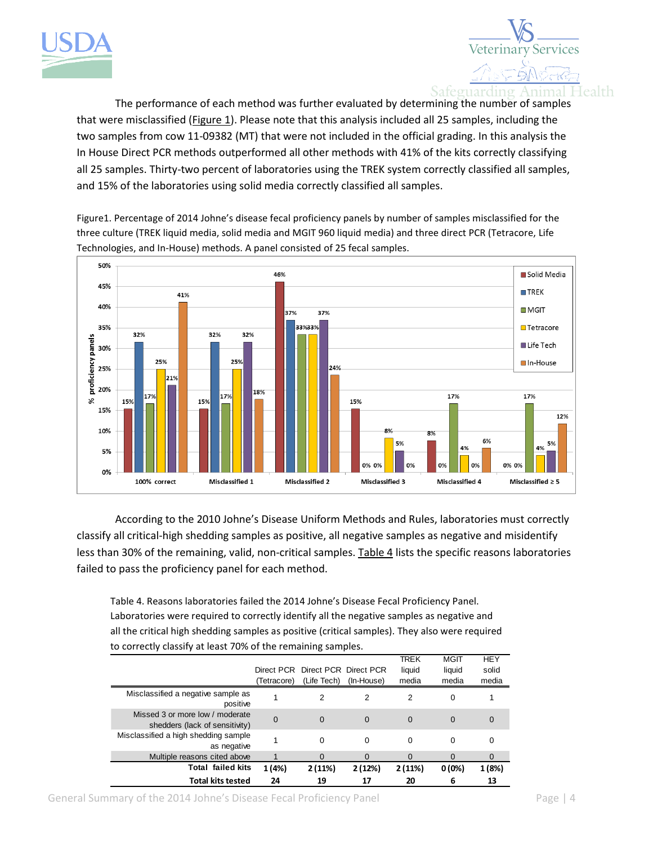



The performance of each method was further evaluated by determining the number of samples that were misclassified (Figure 1). Please note that this analysis included all 25 samples, including the two samples from cow 11-09382 (MT) that were not included in the official grading. In this analysis the In House Direct PCR methods outperformed all other methods with 41% of the kits correctly classifying all 25 samples. Thirty-two percent of laboratories using the TREK system correctly classified all samples, and 15% of the laboratories using solid media correctly classified all samples.

Figure1. Percentage of 2014 Johne's disease fecal proficiency panels by number of samples misclassified for the three culture (TREK liquid media, solid media and MGIT 960 liquid media) and three direct PCR (Tetracore, Life Technologies, and In-House) methods. A panel consisted of 25 fecal samples.



According to the 2010 Johne's Disease Uniform Methods and Rules, laboratories must correctly classify all critical-high shedding samples as positive, all negative samples as negative and misidentify less than 30% of the remaining, valid, non-critical samples. Table 4 lists the specific reasons laboratories failed to pass the proficiency panel for each method.

Table 4. Reasons laboratories failed the 2014 Johne's Disease Fecal Proficiency Panel. Laboratories were required to correctly identify all the negative samples as negative and all the critical high shedding samples as positive (critical samples). They also were required to correctly classify at least 70% of the remaining samples.

|                                                                   |             |                                  |            | TREK     | <b>MGIT</b> | <b>HEY</b> |
|-------------------------------------------------------------------|-------------|----------------------------------|------------|----------|-------------|------------|
|                                                                   |             | Direct PCR Direct PCR Direct PCR |            | liquid   | liquid      | solid      |
|                                                                   | (Tetracore) | (Life Tech)                      | (In-House) | media    | media       | media      |
| Misclassified a negative sample as<br>positive                    |             | 2                                | 2          | 2        | 0           |            |
| Missed 3 or more low / moderate<br>shedders (lack of sensitivity) | $\Omega$    | $\Omega$                         | 0          | 0        | 0           | 0          |
| Misclassified a high shedding sample<br>as negative               |             | 0                                | $\Omega$   | 0        | 0           | 0          |
| Multiple reasons cited above                                      |             | $\Omega$                         | $\Omega$   | $\Omega$ | $\Omega$    | 0          |
| <b>Total failed kits</b>                                          | 1 (4%)      | 2(11%)                           | 2(12%)     | 2(11%)   | $0(0\%)$    | 1 (8%)     |
| <b>Total kits tested</b>                                          | 24          | 19                               | 17         | 20       | 6           | 13         |

General Summary of the 2014 Johne's Disease Fecal Proficiency Panel Page | 4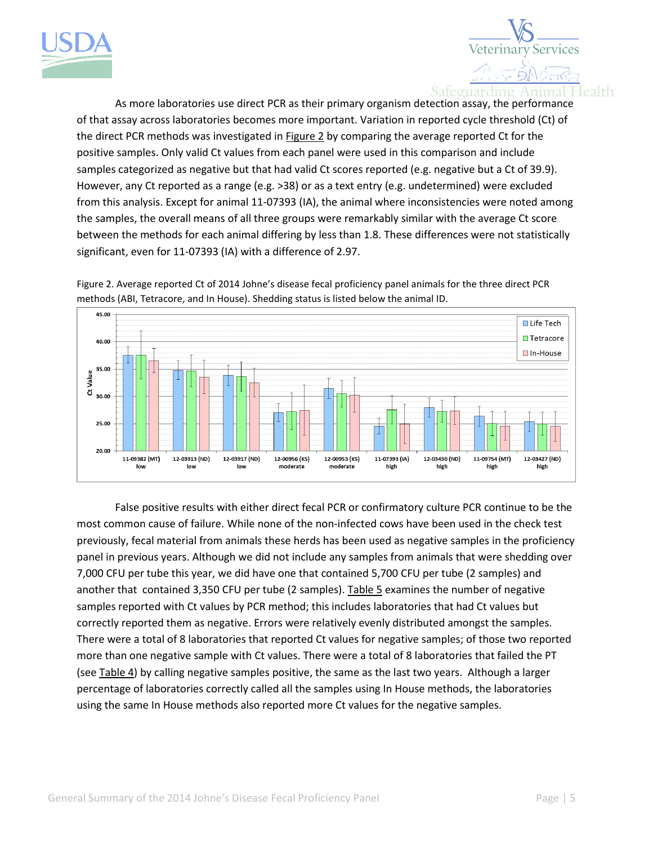



As more laboratories use direct PCR as their primary organism detection assay, the performance of that assay across laboratories becomes more important. Variation in reported cycle threshold (Ct) of the direct PCR methods was investigated in Figure 2 by comparing the average reported Ct for the positive samples. Only valid Ct values from each panel were used in this comparison and include samples categorized as negative but that had valid Ct scores reported (e.g. negative but a Ct of 39.9). However, any Ct reported as a range (e.g. >38) or as a text entry (e.g. undetermined) were excluded from this analysis. Except for animal 11-07393 (IA), the animal where inconsistencies were noted among the samples, the overall means of all three groups were remarkably similar with the average Ct score between the methods for each animal differing by less than 1.8. These differences were not statistically significant, even for 11-07393 (IA) with a difference of 2.97.





False positive results with either direct fecal PCR or confirmatory culture PCR continue to be the most common cause of failure. While none of the non-infected cows have been used in the check test previously, fecal material from animals these herds has been used as negative samples in the proficiency panel in previous years. Although we did not include any samples from animals that were shedding over 7,000 CFU per tube this year, we did have one that contained 5,700 CFU per tube (2 samples) and another that contained 3,350 CFU per tube (2 samples). Table 5 examines the number of negative samples reported with Ct values by PCR method; this includes laboratories that had Ct values but correctly reported them as negative. Errors were relatively evenly distributed amongst the samples. There were a total of 8 laboratories that reported Ct values for negative samples; of those two reported more than one negative sample with Ct values. There were a total of 8 laboratories that failed the PT (see Table 4) by calling negative samples positive, the same as the last two years. Although a larger percentage of laboratories correctly called all the samples using In House methods, the laboratories using the same In House methods also reported more Ct values for the negative samples.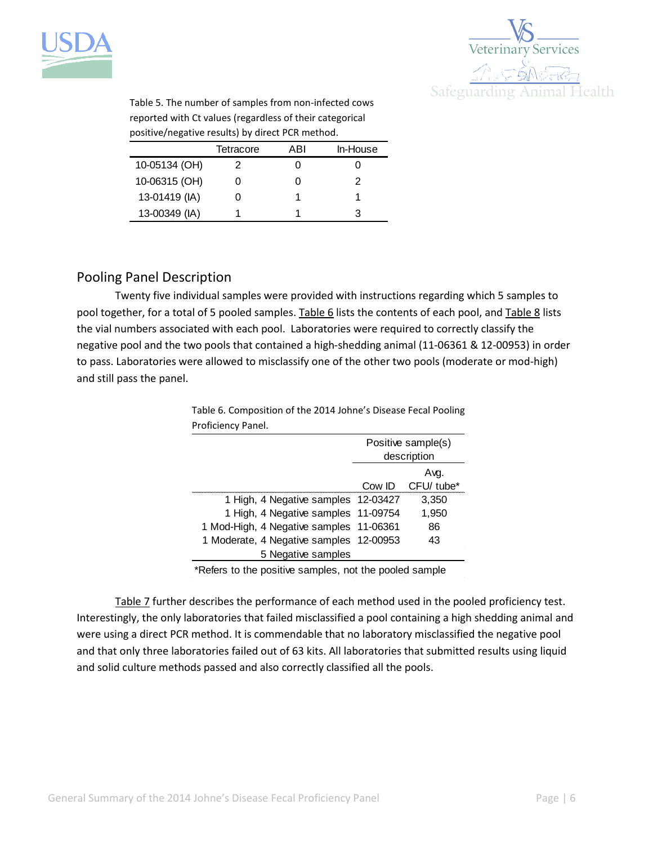



Table 5. The number of samples from non-infected cows reported with Ct values (regardless of their categorical positive/negative results) by direct PCR method.

|               | Tetracore | ABI | In-House |
|---------------|-----------|-----|----------|
| 10-05134 (OH) | 2         |     |          |
| 10-06315 (OH) |           |     | 2        |
| 13-01419 (IA) |           |     |          |
| 13-00349 (IA) |           |     |          |

## Pooling Panel Description

Twenty five individual samples were provided with instructions regarding which 5 samples to pool together, for a total of 5 pooled samples. Table 6 lists the contents of each pool, and Table 8 lists the vial numbers associated with each pool. Laboratories were required to correctly classify the negative pool and the two pools that contained a high-shedding animal (11-06361 & 12-00953) in order to pass. Laboratories were allowed to misclassify one of the other two pools (moderate or mod-high) and still pass the panel.

> Table 6. Composition of the 2014 Johne's Disease Fecal Pooling Proficiency Panel.

|                                         | Positive sample(s)<br>description |                        |  |
|-----------------------------------------|-----------------------------------|------------------------|--|
|                                         | Ava.                              |                        |  |
|                                         | Cow ID                            | CFU/ tube <sup>*</sup> |  |
| 1 High, 4 Negative samples 12-03427     |                                   | 3,350                  |  |
| 1 High, 4 Negative samples 11-09754     |                                   | 1,950                  |  |
| 1 Mod-High, 4 Negative samples 11-06361 |                                   | 86                     |  |
| 1 Moderate, 4 Negative samples 12-00953 |                                   | 43                     |  |
| 5 Negative samples                      |                                   |                        |  |

\*Refers to the positive samples, not the pooled sample

Table 7 further describes the performance of each method used in the pooled proficiency test. Interestingly, the only laboratories that failed misclassified a pool containing a high shedding animal and were using a direct PCR method. It is commendable that no laboratory misclassified the negative pool and that only three laboratories failed out of 63 kits. All laboratories that submitted results using liquid and solid culture methods passed and also correctly classified all the pools.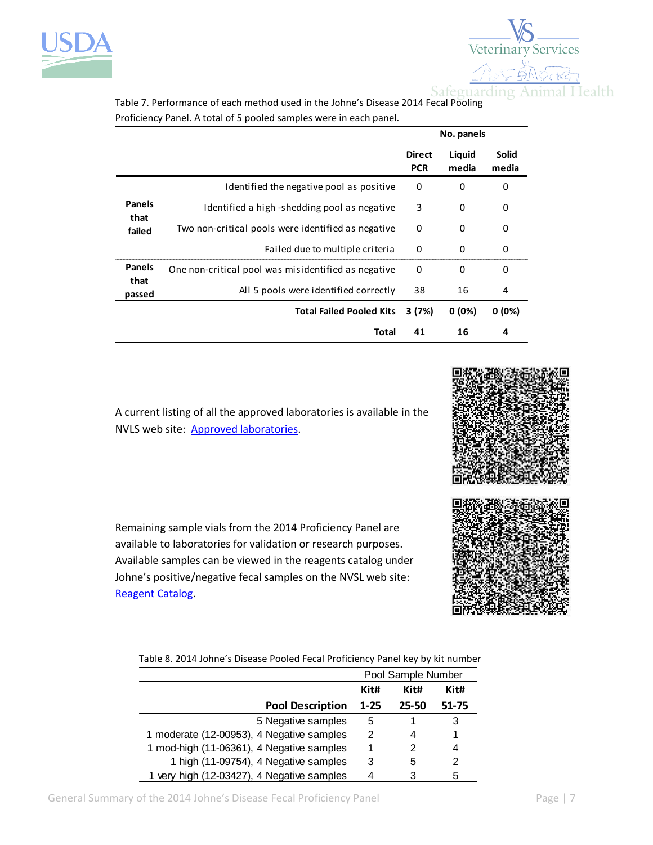



Table 7. Performance of each method used in the Johne's Disease 2014 Fecal Pooling Proficiency Panel. A total of 5 pooled samples were in each panel.

|                |                                                     |                             | No. panels      |                       |
|----------------|-----------------------------------------------------|-----------------------------|-----------------|-----------------------|
|                |                                                     | <b>Direct</b><br><b>PCR</b> | Liquid<br>media | <b>Solid</b><br>media |
|                | Identified the negative pool as positive            | 0                           | 0               | 0                     |
| <b>Panels</b>  | Identified a high-shedding pool as negative         | 3                           | 0               | 0                     |
| that<br>failed | Two non-critical pools were identified as negative  | 0                           | 0               | 0                     |
|                | Failed due to multiple criteria                     | 0                           | $\Omega$        | 0                     |
| <b>Panels</b>  | One non-critical pool was misidentified as negative | 0                           | 0               | 0                     |
| that<br>passed | All 5 pools were identified correctly               | 38                          | 16              | 4                     |
|                | <b>Total Failed Pooled Kits</b>                     | 3(7%)                       | $0(0\%)$        | $0(0\%)$              |
|                | <b>Total</b>                                        | 41                          | 16              | 4                     |
|                |                                                     |                             |                 |                       |

A current listing of all the approved laboratories is available in the NVLS web site: [Approved laboratories.](http://www.aphis.usda.gov/wps/portal/aphis/ourfocus/animalhealth/sa_lab_information_services/!ut/p/a1/tZFLc4IwGEV_i4sumXwgBFjiE1Rqp9YqbDLhJelAQIhO669voN10obWLZvdl7k1OTlCI9ijk9MwOVLCK06KbQ0wWa1dTR6B58409Be_xdeZbK3O4dnUZCGRgPHdc3VwBgG5p4E1G7sS0fQAP39eHK8uB3_o7FKIw5qIWOQponbOWxBUXKRekYFFDm48HaCmpTg3JqvjU9hPlrKQFyVNaiLzfKWhEGM-qpuxfTtq0ObM4bbvT65glKFATnEZGghVIjUTRNStTImyZSmLgIc50aqtq8kXzA3g-HUng2erJXC40WBrfgVvC-sANI4FUZl51Yuto80fqxR2fxN6Ox9CRqju57wLt_8G1vEZr_LF_kPRU5EoXQvtbjbrcbktriJ_dy0tW7qzWGQw-AShCoRg!/?1dmy&urile=wcm%3apath%3a%2Faphis_content_library%2Fsa_our_focus%2Fsa_animal_health%2Fsa_lab_information_services%2Fsa_approved_labs%2Fct_approved_labs)



Table 8. 2014 Johne's Disease Pooled Fecal Proficiency Panel key by kit number

|                                            | Pool Sample Number |           |           |
|--------------------------------------------|--------------------|-----------|-----------|
|                                            | Kit#<br>Kit#       |           | Kit#      |
| <b>Pool Description</b>                    | $1 - 25$           | $25 - 50$ | $51 - 75$ |
| 5 Negative samples                         | 5                  |           | 3         |
| 1 moderate (12-00953), 4 Negative samples  |                    | 4         |           |
| 1 mod-high (11-06361), 4 Negative samples  |                    | 2         | 4         |
| 1 high (11-09754), 4 Negative samples      | 3                  | 5         | 2         |
| 1 very high (12-03427), 4 Negative samples |                    | 3         | 5         |